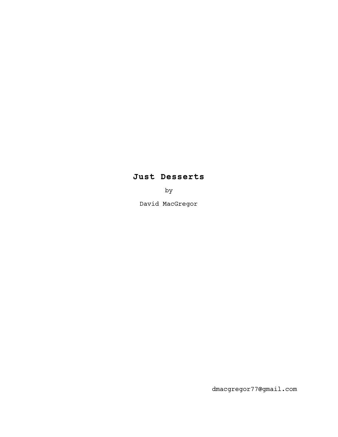# **Just Desserts**

by

David MacGregor

dmacgregor77@gmail.com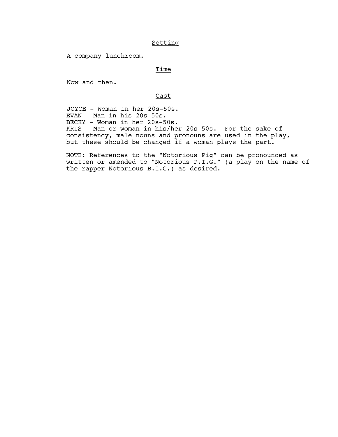# Setting

A company lunchroom.

## Time

Now and then.

## Cast

 JOYCE - Woman in her 20s-50s. EVAN - Man in his 20s-50s. BECKY - Woman in her 20s-50s. KRIS - Man or woman in his/her 20s-50s. For the sake of consistency, male nouns and pronouns are used in the play, but these should be changed if a woman plays the part.

NOTE: References to the "Notorious Pig" can be pronounced as written or amended to "Notorious P.I.G." (a play on the name of the rapper Notorious B.I.G.) as desired.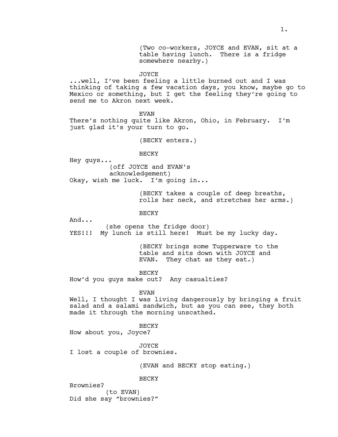(Two co-workers, JOYCE and EVAN, sit at a table having lunch. There is a fridge somewhere nearby.)

**JOYCE** 

...well, I've been feeling a little burned out and I was thinking of taking a few vacation days, you know, maybe go to Mexico or something, but I get the feeling they're going to send me to Akron next week.

EVAN

There's nothing quite like Akron, Ohio, in February. I'm just glad it's your turn to go.

(BECKY enters.)

**BECKY** 

Hey guys... (off JOYCE and EVAN's acknowledgement) Okay, wish me luck. I'm going in...

> (BECKY takes a couple of deep breaths, rolls her neck, and stretches her arms.)

BECKY

And...

(she opens the fridge door) YES!!! My lunch is still here! Must be my lucky day.

> (BECKY brings some Tupperware to the table and sits down with JOYCE and EVAN. They chat as they eat.)

BECKY How'd you guys make out? Any casualties?

EVAN

Well, I thought I was living dangerously by bringing a fruit salad and a salami sandwich, but as you can see, they both made it through the morning unscathed.

BECKY

How about you, Joyce?

JOYCE I lost a couple of brownies.

(EVAN and BECKY stop eating.)

BECKY

Brownies? (to EVAN) Did she say "brownies?"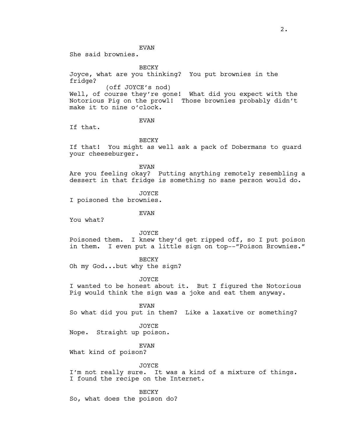EVAN

She said brownies.

BECKY

Joyce, what are you thinking? You put brownies in the fridge?

(off JOYCE's nod)

Well, of course they're gone! What did you expect with the Notorious Pig on the prowl! Those brownies probably didn't make it to nine o'clock.

EVAN

If that.

BECKY

If that! You might as well ask a pack of Dobermans to guard your cheeseburger.

EVAN

Are you feeling okay? Putting anything remotely resembling a dessert in that fridge is something no sane person would do.

JOYCE

I poisoned the brownies.

EVAN

You what?

JOYCE

Poisoned them. I knew they'd get ripped off, so I put poison in them. I even put a little sign on top--"Poison Brownies."

**BECKY** 

Oh my God...but why the sign?

JOYCE

I wanted to be honest about it. But I figured the Notorious Pig would think the sign was a joke and eat them anyway.

EVAN

So what did you put in them? Like a laxative or something?

JOYCE

Nope. Straight up poison.

EVAN

What kind of poison?

JOYCE

I'm not really sure. It was a kind of a mixture of things. I found the recipe on the Internet.

BECKY So, what does the poison do?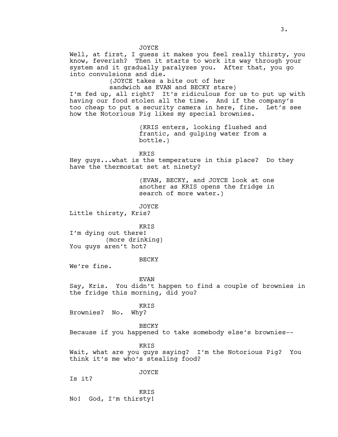JOYCE Well, at first, I guess it makes you feel really thirsty, you know, feverish? Then it starts to work its way through your system and it gradually paralyzes you. After that, you go into convulsions and die. (JOYCE takes a bite out of her sandwich as EVAN and BECKY stare) I'm fed up, all right? It's ridiculous for us to put up with having our food stolen all the time. And if the company's too cheap to put a security camera in here, fine. Let's see how the Notorious Pig likes my special brownies. (KRIS enters, looking flushed and frantic, and gulping water from a bottle.) **KRTS** Hey guys...what is the temperature in this place? Do they have the thermostat set at ninety? (EVAN, BECKY, and JOYCE look at one another as KRIS opens the fridge in search of more water.) JOYCE Little thirsty, Kris? KRIS I'm dying out there! (more drinking) You guys aren't hot? **BECKY** We're fine. EVAN Say, Kris. You didn't happen to find a couple of brownies in the fridge this morning, did you? KRIS Brownies? No. Why? BECKY Because if you happened to take somebody else's brownies-- KRIS Wait, what are you guys saying? I'm the Notorious Pig? You think it's me who's stealing food? JOYCE

Is it?

KRIS No! God, I'm thirsty!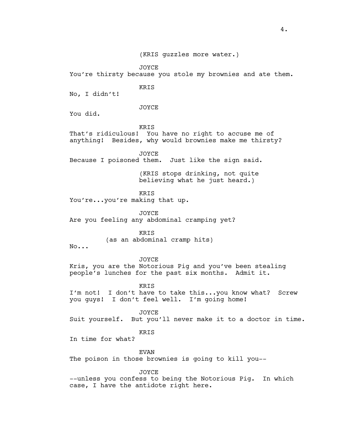(KRIS guzzles more water.)

JOYCE

You're thirsty because you stole my brownies and ate them.

KRIS

No, I didn't!

JOYCE

You did.

**KRTS** 

That's ridiculous! You have no right to accuse me of anything! Besides, why would brownies make me thirsty?

**JOYCE** 

Because I poisoned them. Just like the sign said.

(KRIS stops drinking, not quite believing what he just heard.)

KRIS

You're...you're making that up.

JOYCE

Are you feeling any abdominal cramping yet?

KRIS

(as an abdominal cramp hits)

No...

**JOYCE** Kris, you are the Notorious Pig and you've been stealing people's lunches for the past six months. Admit it.

KRIS I'm not! I don't have to take this...you know what? Screw you guys! I don't feel well. I'm going home!

JOYCE Suit yourself. But you'll never make it to a doctor in time.

**KRTS** 

In time for what?

EVAN

The poison in those brownies is going to kill you--

**JOYCE** 

--unless you confess to being the Notorious Pig. In which case, I have the antidote right here.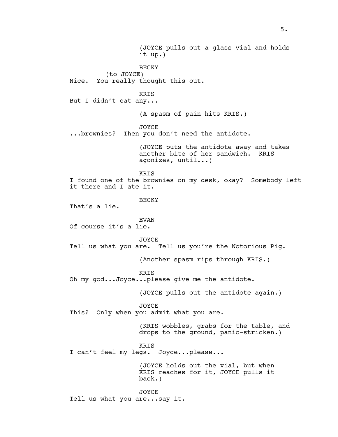(JOYCE pulls out a glass vial and holds it up.) BECKY (to JOYCE) Nice. You really thought this out. KRIS But I didn't eat any... (A spasm of pain hits KRIS.) JOYCE ...brownies? Then you don't need the antidote. (JOYCE puts the antidote away and takes another bite of her sandwich. KRIS agonizes, until...) KRIS I found one of the brownies on my desk, okay? Somebody left it there and I ate it. **BECKY** That's a lie. EVAN Of course it's a lie. JOYCE Tell us what you are. Tell us you're the Notorious Pig. (Another spasm rips through KRIS.) **KRTS** Oh my god...Joyce...please give me the antidote. (JOYCE pulls out the antidote again.) JOYCE This? Only when you admit what you are. (KRIS wobbles, grabs for the table, and drops to the ground, panic-stricken.) KRIS I can't feel my legs. Joyce...please... (JOYCE holds out the vial, but when KRIS reaches for it, JOYCE pulls it back.) JOYCE Tell us what you are...say it.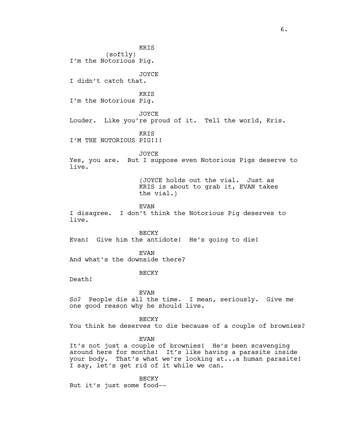KRIS (softly) I'm the Notorious Pig. JOYCE I didn't catch that. KRIS I'm the Notorious Pig. JOYCE Louder. Like you're proud of it. Tell the world, Kris. KRIS I'M THE NOTORIOUS PIG!!! **JOYCE** Yes, you are. But I suppose even Notorious Pigs deserve to live. (JOYCE holds out the vial. Just as KRIS is about to grab it, EVAN takes the vial.) EVAN I disagree. I don't think the Notorious Pig deserves to live. BECKY Evan! Give him the antidote! He's going to die! EVAN And what's the downside there? BECKY Death! EVAN So? People die all the time. I mean, seriously. Give me one good reason why he should live. BECKY You think he deserves to die because of a couple of brownies? EVAN It's not just a couple of brownies! He's been scavenging around here for months! It's like having a parasite inside your body. That's what we're looking at...a human parasite! I say, let's get rid of it while we can.

BECKY But it's just some food--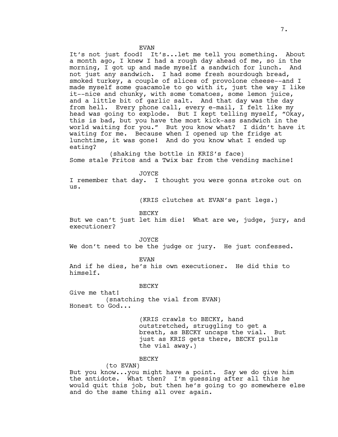EVAN

It's not just food! It's...let me tell you something. About a month ago, I knew I had a rough day ahead of me, so in the morning, I got up and made myself a sandwich for lunch. And not just any sandwich. I had some fresh sourdough bread, smoked turkey, a couple of slices of provolone cheese--and I made myself some guacamole to go with it, just the way I like it--nice and chunky, with some tomatoes, some lemon juice, and a little bit of garlic salt. And that day was the day from hell. Every phone call, every e-mail, I felt like my head was going to explode. But I kept telling myself, "Okay, this is bad, but you have the most kick-ass sandwich in the world waiting for you." But you know what? I didn't have it waiting for me. Because when I opened up the fridge at lunchtime, it was gone! And do you know what I ended up eating?

 (shaking the bottle in KRIS's face) Some stale Fritos and a Twix bar from the vending machine!

JOYCE

I remember that day. I thought you were gonna stroke out on us.

(KRIS clutches at EVAN's pant legs.)

BECKY

But we can't just let him die! What are we, judge, jury, and executioner?

JOYCE

We don't need to be the judge or jury. He just confessed.

EVAN

And if he dies, he's his own executioner. He did this to himself.

BECKY

Give me that! (snatching the vial from EVAN) Honest to God...

> (KRIS crawls to BECKY, hand outstretched, struggling to get a breath, as BECKY uncaps the vial. But just as KRIS gets there, BECKY pulls the vial away.)

## BECKY

#### (to EVAN)

But you know...you might have a point. Say we do give him the antidote. What then? I'm guessing after all this he would quit this job, but then he's going to go somewhere else and do the same thing all over again.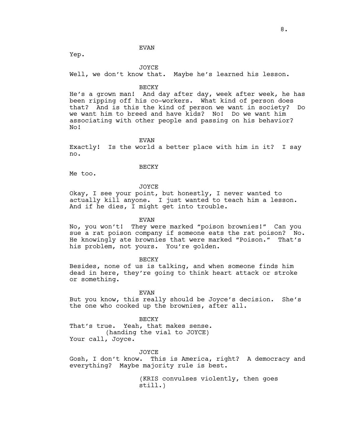#### EVAN

Yep.

#### JOYCE

Well, we don't know that. Maybe he's learned his lesson.

#### BECKY

He's a grown man! And day after day, week after week, he has been ripping off his co-workers. What kind of person does that? And is this the kind of person we want in society? Do we want him to breed and have kids? No! Do we want him associating with other people and passing on his behavior? No!

EVAN

Exactly! Is the world a better place with him in it? I say no.

#### BECKY

Me too.

JOYCE

Okay, I see your point, but honestly, I never wanted to actually kill anyone. I just wanted to teach him a lesson. And if he dies, I might get into trouble.

EVAN

No, you won't! They were marked "poison brownies!" Can you sue a rat poison company if someone eats the rat poison? No. He knowingly ate brownies that were marked "Poison." That's his problem, not yours. You're golden.

**BECKY** 

Besides, none of us is talking, and when someone finds him dead in here, they're going to think heart attack or stroke or something.

EVAN

But you know, this really should be Joyce's decision. She's the one who cooked up the brownies, after all.

#### BECKY

That's true. Yeah, that makes sense. (handing the vial to JOYCE) Your call, Joyce.

JOYCE

Gosh, I don't know. This is America, right? A democracy and everything? Maybe majority rule is best.

> (KRIS convulses violently, then goes still.)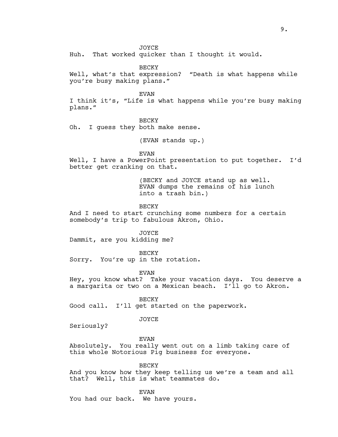JOYCE

Huh. That worked quicker than I thought it would.

BECKY

Well, what's that expression? "Death is what happens while you're busy making plans."

EVAN

I think it's, "Life is what happens while you're busy making plans."

BECKY

Oh. I guess they both make sense.

(EVAN stands up.)

EVAN

Well, I have a PowerPoint presentation to put together. I'd better get cranking on that.

> (BECKY and JOYCE stand up as well. EVAN dumps the remains of his lunch into a trash bin.)

BECKY

And I need to start crunching some numbers for a certain somebody's trip to fabulous Akron, Ohio.

JOYCE

Dammit, are you kidding me?

BECKY

Sorry. You're up in the rotation.

EVAN

Hey, you know what? Take your vacation days. You deserve a a margarita or two on a Mexican beach. I'll go to Akron.

BECKY

Good call. I'll get started on the paperwork.

JOYCE

Seriously?

EVAN

Absolutely. You really went out on a limb taking care of this whole Notorious Pig business for everyone.

**BECKY** 

And you know how they keep telling us we're a team and all that? Well, this is what teammates do.

EVAN

You had our back. We have yours.